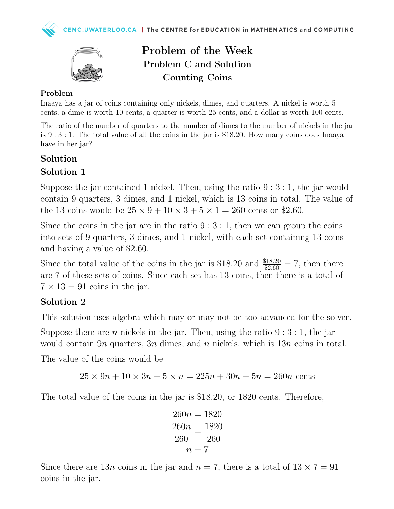

# Problem of the Week Problem C and Solution Counting Coins

#### Problem

Inaaya has a jar of coins containing only nickels, dimes, and quarters. A nickel is worth 5 cents, a dime is worth 10 cents, a quarter is worth 25 cents, and a dollar is worth 100 cents.

The ratio of the number of quarters to the number of dimes to the number of nickels in the jar is 9 : 3 : 1. The total value of all the coins in the jar is \$18.20. How many coins does Inaaya have in her jar?

#### Solution

### Solution 1

Suppose the jar contained 1 nickel. Then, using the ratio  $9:3:1$ , the jar would contain 9 quarters, 3 dimes, and 1 nickel, which is 13 coins in total. The value of the 13 coins would be  $25 \times 9 + 10 \times 3 + 5 \times 1 = 260$  cents or \$2.60.

Since the coins in the jar are in the ratio  $9:3:1$ , then we can group the coins into sets of 9 quarters, 3 dimes, and 1 nickel, with each set containing 13 coins and having a value of \$2.60.

Since the total value of the coins in the jar is \$18.20 and  $\frac{$18.20}{$2.60} = 7$ , then there are 7 of these sets of coins. Since each set has 13 coins, then there is a total of  $7 \times 13 = 91$  coins in the jar.

## Solution 2

This solution uses algebra which may or may not be too advanced for the solver.

Suppose there are *n* nickels in the jar. Then, using the ratio  $9:3:1$ , the jar would contain 9*n* quarters, 3*n* dimes, and *n* nickels, which is  $13n$  coins in total.

The value of the coins would be

$$
25 \times 9n + 10 \times 3n + 5 \times n = 225n + 30n + 5n = 260n
$$
 cents

The total value of the coins in the jar is \$18.20, or 1820 cents. Therefore,

$$
260n = 1820
$$

$$
\frac{260n}{260} = \frac{1820}{260}
$$

$$
n = 7
$$

Since there are 13*n* coins in the jar and  $n = 7$ , there is a total of  $13 \times 7 = 91$ coins in the jar.